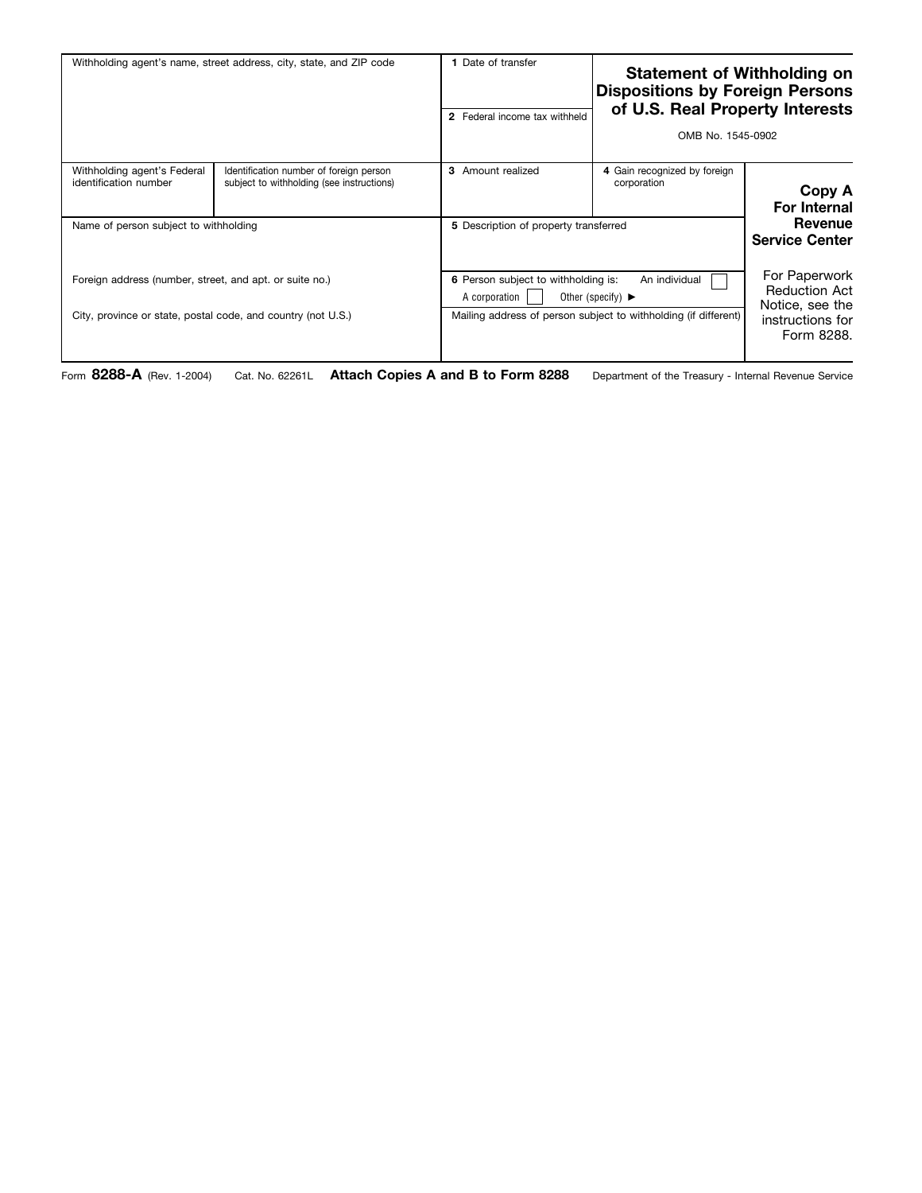| Withholding agent's name, street address, city, state, and ZIP code                                                     |                                                                                      | 1 Date of transfer                                                                                                                                                                | <b>Statement of Withholding on</b><br><b>Dispositions by Foreign Persons</b><br>of U.S. Real Property Interests<br>2 Federal income tax withheld<br>OMB No. 1545-0902 |                                                                                            |
|-------------------------------------------------------------------------------------------------------------------------|--------------------------------------------------------------------------------------|-----------------------------------------------------------------------------------------------------------------------------------------------------------------------------------|-----------------------------------------------------------------------------------------------------------------------------------------------------------------------|--------------------------------------------------------------------------------------------|
| Withholding agent's Federal<br>identification number                                                                    | Identification number of foreign person<br>subject to withholding (see instructions) | 3 Amount realized                                                                                                                                                                 | 4 Gain recognized by foreign<br>corporation                                                                                                                           | Copy A<br><b>For Internal</b>                                                              |
| Name of person subject to withholding                                                                                   |                                                                                      | 5 Description of property transferred                                                                                                                                             |                                                                                                                                                                       | Revenue<br><b>Service Center</b>                                                           |
| Foreign address (number, street, and apt. or suite no.)<br>City, province or state, postal code, and country (not U.S.) |                                                                                      | 6 Person subject to withholding is:<br>An individual<br>A corporation<br>Other (specify) $\blacktriangleright$<br>Mailing address of person subject to withholding (if different) |                                                                                                                                                                       | For Paperwork<br><b>Reduction Act</b><br>Notice, see the<br>instructions for<br>Form 8288. |

Form **8288-A** (Rev. 1-2004) Cat. No. 62261L **Attach Copies A and B to Form 8288** Department of the Treasury - Internal Revenue Service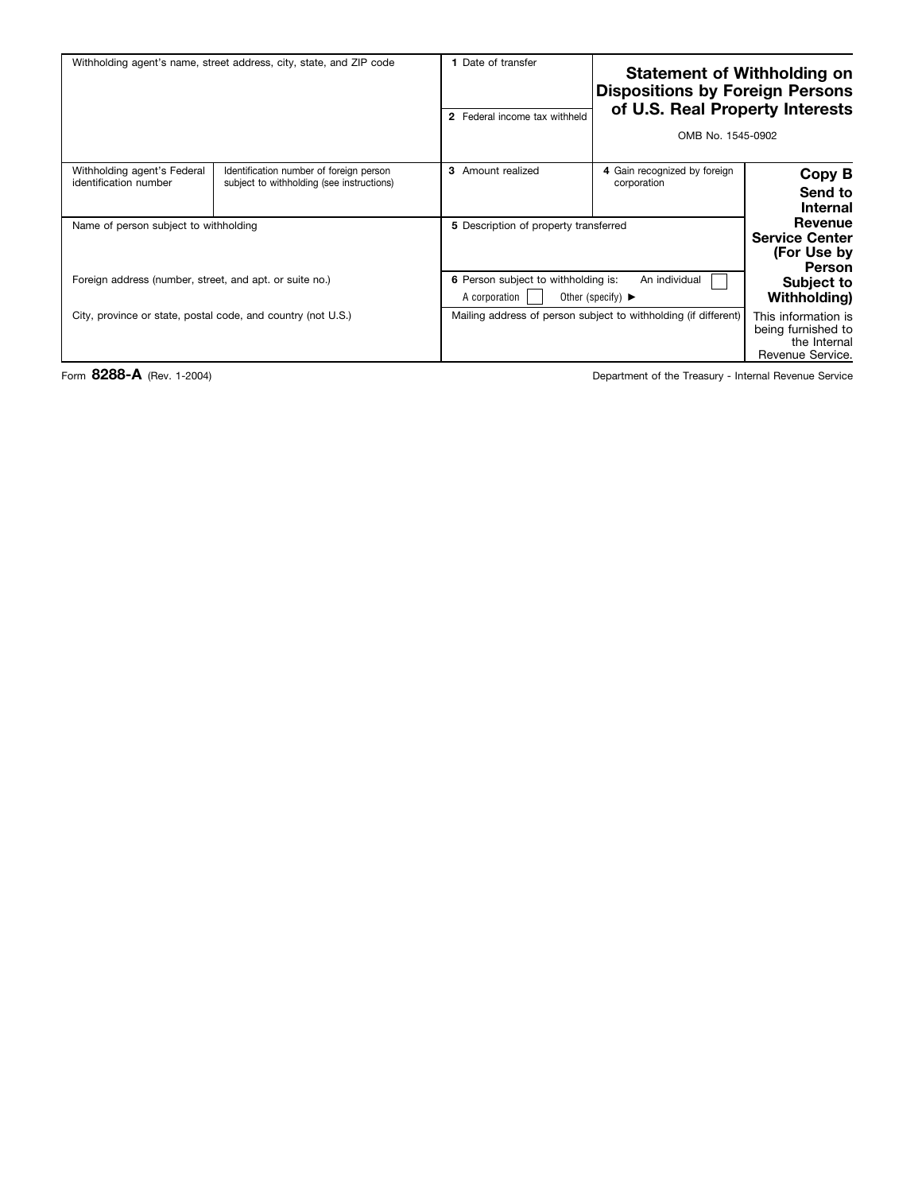| <b>Statement of Withholding on</b><br><b>Dispositions by Foreign Persons</b><br>of U.S. Real Property Interests<br>OMB No. 1545-0902 |                                                                                                                | 1 Date of transfer<br>2 Federal income tax withheld | Withholding agent's name, street address, city, state, and ZIP code                  |                                                      |
|--------------------------------------------------------------------------------------------------------------------------------------|----------------------------------------------------------------------------------------------------------------|-----------------------------------------------------|--------------------------------------------------------------------------------------|------------------------------------------------------|
| Copy B<br>Send to<br><b>Internal</b>                                                                                                 | 4 Gain recognized by foreign<br>corporation                                                                    | 3 Amount realized                                   | Identification number of foreign person<br>subject to withholding (see instructions) | Withholding agent's Federal<br>identification number |
| Revenue<br><b>Service Center</b><br>(For Use by<br>Person                                                                            | 5 Description of property transferred                                                                          |                                                     | Name of person subject to withholding                                                |                                                      |
| Subject to<br>Withholding)                                                                                                           | 6 Person subject to withholding is:<br>An individual<br>A corporation<br>Other (specify) $\blacktriangleright$ |                                                     | Foreign address (number, street, and apt. or suite no.)                              |                                                      |
| This information is<br>being furnished to<br>the Internal<br>Revenue Service.                                                        | Mailing address of person subject to withholding (if different)                                                |                                                     | City, province or state, postal code, and country (not U.S.)                         |                                                      |

Form 8288-A (Rev. 1-2004) **Department of the Treasury - Internal Revenue Service**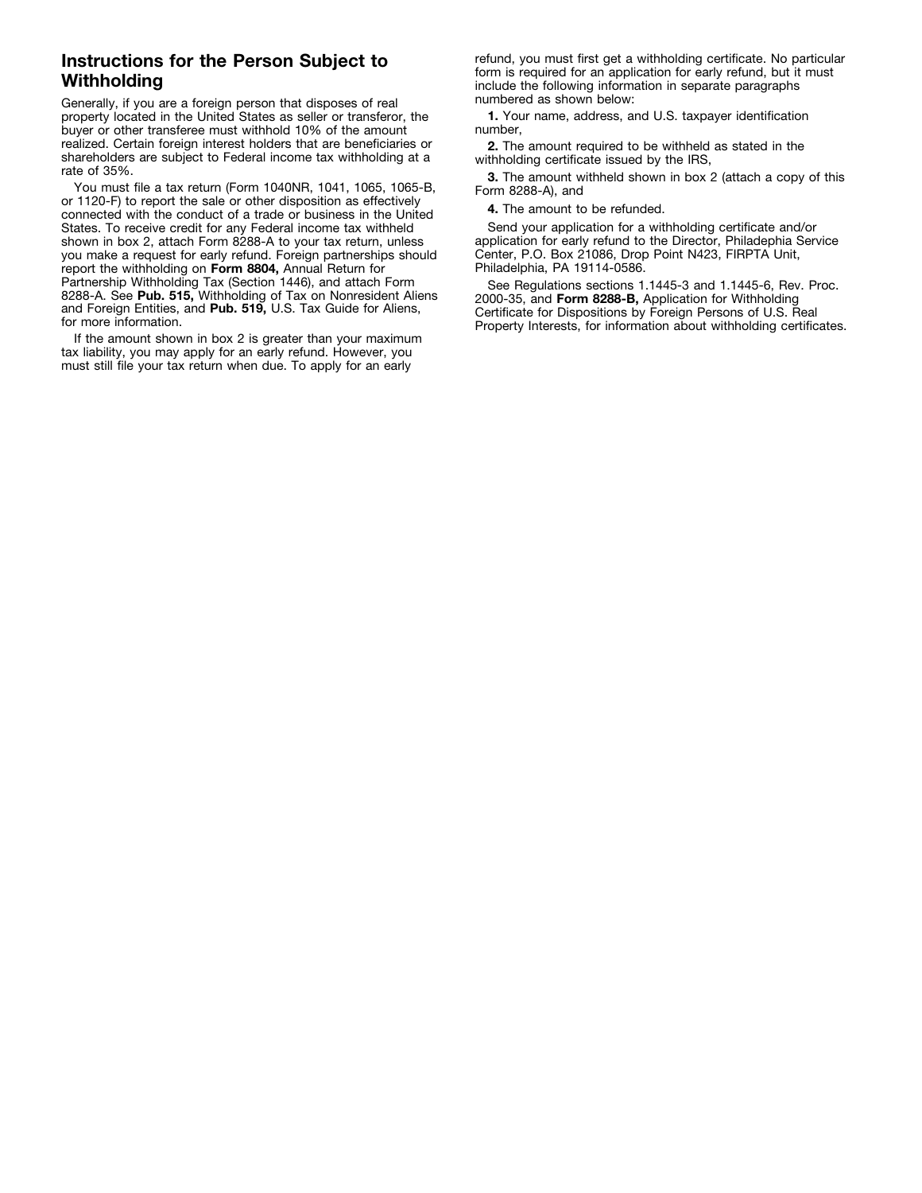## **Instructions for the Person Subject to Withholding**

Generally, if you are a foreign person that disposes of real property located in the United States as seller or transferor, the buyer or other transferee must withhold 10% of the amount realized. Certain foreign interest holders that are beneficiaries or shareholders are subject to Federal income tax withholding at a rate of 35%.

You must file a tax return (Form 1040NR, 1041, 1065, 1065-B, or 1120-F) to report the sale or other disposition as effectively connected with the conduct of a trade or business in the United States. To receive credit for any Federal income tax withheld shown in box 2, attach Form 8288-A to your tax return, unless you make a request for early refund. Foreign partnerships should report the withholding on **Form 8804,** Annual Return for Partnership Withholding Tax (Section 1446), and attach Form 8288-A. See Pub. 515, Withholding of Tax on Nonresident Aliens and Foreign Entities, and **Pub. 519,** U.S. Tax Guide for Aliens, for more information.

If the amount shown in box 2 is greater than your maximum tax liability, you may apply for an early refund. However, you must still file your tax return when due. To apply for an early

refund, you must first get a withholding certificate. No particular form is required for an application for early refund, but it must include the following information in separate paragraphs numbered as shown below:

**1.** Your name, address, and U.S. taxpayer identification number,

**2.** The amount required to be withheld as stated in the withholding certificate issued by the IRS,

**3.** The amount withheld shown in box 2 (attach a copy of this Form 8288-A), and

**4.** The amount to be refunded.

Send your application for a withholding certificate and/or application for early refund to the Director, Philadephia Service Center, P.O. Box 21086, Drop Point N423, FIRPTA Unit, Philadelphia, PA 19114-0586.

See Regulations sections 1.1445-3 and 1.1445-6, Rev. Proc. 2000-35, and **Form 8288-B,** Application for Withholding Certificate for Dispositions by Foreign Persons of U.S. Real Property Interests, for information about withholding certificates.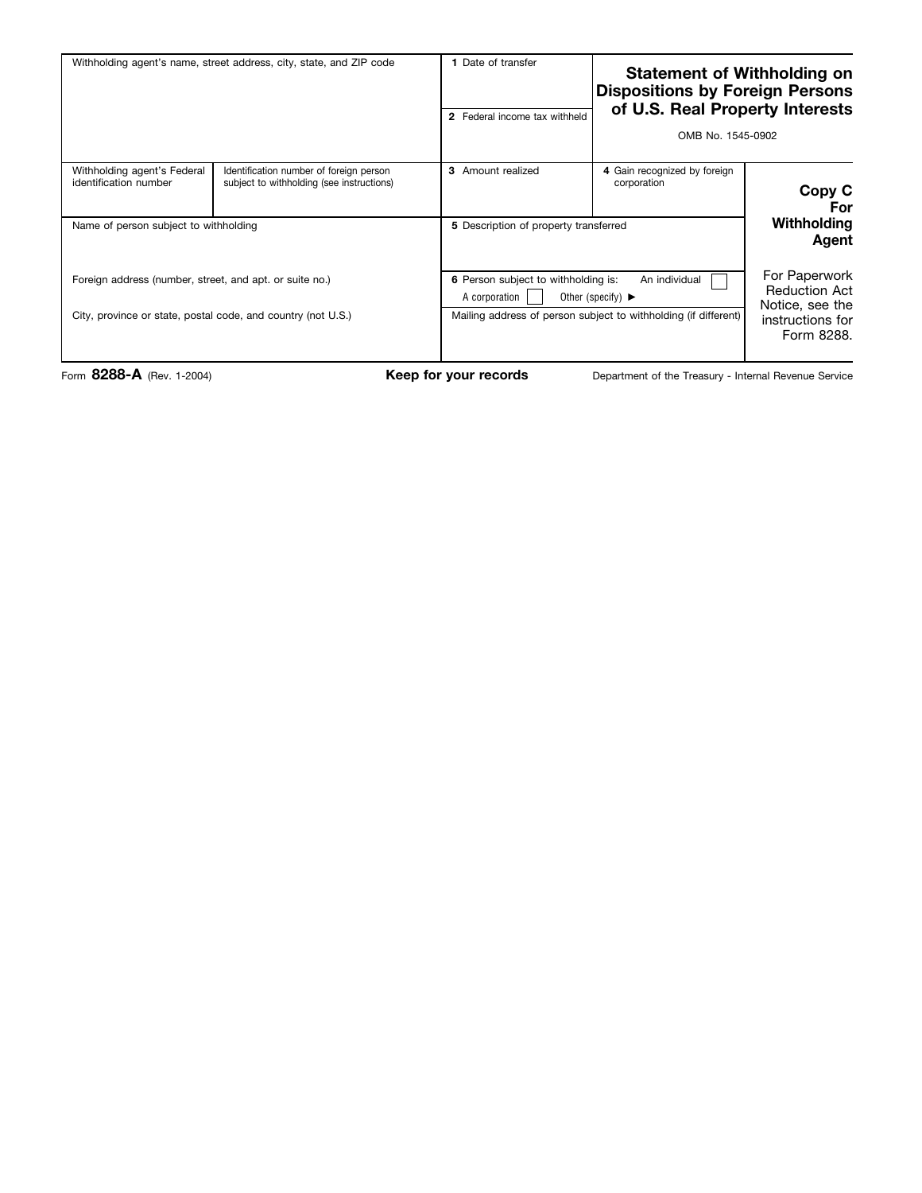| Withholding agent's name, street address, city, state, and ZIP code                                                                                              |                                                                                      | 1 Date of transfer<br>2 Federal income tax withheld                                                                                                                                                                        |                                             | <b>Statement of Withholding on</b><br><b>Dispositions by Foreign Persons</b><br>of U.S. Real Property Interests<br>OMB No. 1545-0902 |  |
|------------------------------------------------------------------------------------------------------------------------------------------------------------------|--------------------------------------------------------------------------------------|----------------------------------------------------------------------------------------------------------------------------------------------------------------------------------------------------------------------------|---------------------------------------------|--------------------------------------------------------------------------------------------------------------------------------------|--|
| Withholding agent's Federal<br>identification number                                                                                                             | Identification number of foreign person<br>subject to withholding (see instructions) | 3 Amount realized                                                                                                                                                                                                          | 4 Gain recognized by foreign<br>corporation | Copy C<br>For                                                                                                                        |  |
| Name of person subject to withholding<br>Foreign address (number, street, and apt. or suite no.)<br>City, province or state, postal code, and country (not U.S.) |                                                                                      | 5 Description of property transferred<br>6 Person subject to withholding is:<br>An individual<br>Other (specify) $\blacktriangleright$<br>A corporation<br>Mailing address of person subject to withholding (if different) |                                             | Withholding<br>Agent<br>For Paperwork<br><b>Reduction Act</b><br>Notice, see the<br>instructions for<br>Form 8288.                   |  |

Form 8288-A (Rev. 1-2004) **Keep for your records** Department of the Treasury - Internal Revenue Service